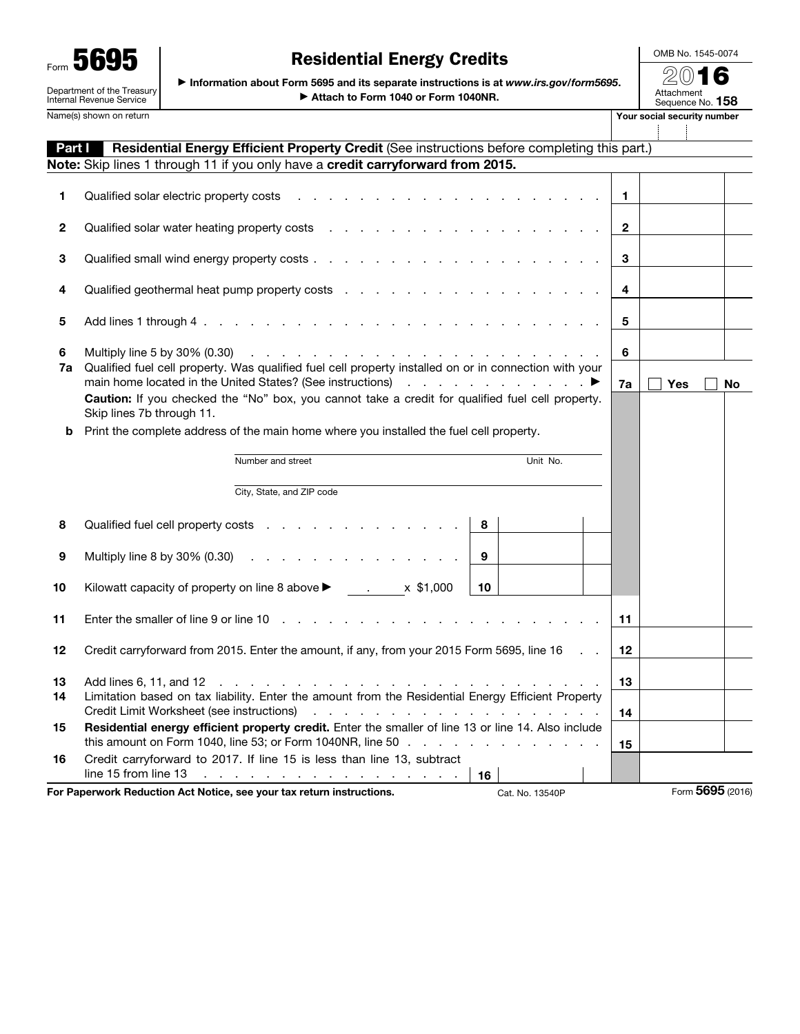Form 5695 Department of the Treasury Internal Revenue Service

## Residential Energy Credits

OMB No. 1545-0074

| Form UUJU                                              | NUSIQUIRIQI ENUIST UIUQILU                                                                                                     |                                        |
|--------------------------------------------------------|--------------------------------------------------------------------------------------------------------------------------------|----------------------------------------|
| Department of the Treasury<br>Internal Revenue Service | · Information about Form 5695 and its separate instructions is at www.irs.gov/form5695.<br>Attach to Form 1040 or Form 1040NR. | 2016<br>Attachment<br>Sequence No. 158 |
| Name(s) shown on return                                |                                                                                                                                | Your social security number            |

| Part I   | Residential Energy Efficient Property Credit (See instructions before completing this part.)                                                                                                                                            |                         |                  |    |
|----------|-----------------------------------------------------------------------------------------------------------------------------------------------------------------------------------------------------------------------------------------|-------------------------|------------------|----|
|          | Note: Skip lines 1 through 11 if you only have a credit carryforward from 2015.                                                                                                                                                         |                         |                  |    |
| 1        | Qualified solar electric property costs                                                                                                                                                                                                 | 1                       |                  |    |
| 2        |                                                                                                                                                                                                                                         | $\mathbf{2}$            |                  |    |
| 3        |                                                                                                                                                                                                                                         | 3                       |                  |    |
| 4        |                                                                                                                                                                                                                                         | $\overline{\mathbf{4}}$ |                  |    |
| 5        |                                                                                                                                                                                                                                         | 5                       |                  |    |
| 6<br>7a  | Qualified fuel cell property. Was qualified fuel cell property installed on or in connection with your<br>Caution: If you checked the "No" box, you cannot take a credit for qualified fuel cell property.<br>Skip lines 7b through 11. | 6<br>7a                 | <b>Yes</b>       | No |
| b        | Print the complete address of the main home where you installed the fuel cell property.                                                                                                                                                 |                         |                  |    |
|          |                                                                                                                                                                                                                                         |                         |                  |    |
|          | Unit No.<br>Number and street                                                                                                                                                                                                           |                         |                  |    |
|          | City, State, and ZIP code                                                                                                                                                                                                               |                         |                  |    |
| 8        | Qualified fuel cell property costs<br>8                                                                                                                                                                                                 |                         |                  |    |
| 9        | Multiply line 8 by 30% $(0.30)$<br>9                                                                                                                                                                                                    |                         |                  |    |
| 10       | Kilowatt capacity of property on line 8 above $\blacktriangleright$ . x \$1,000<br>10 <sup>°</sup>                                                                                                                                      |                         |                  |    |
| 11       | Enter the smaller of line 9 or line 10                                                                                                                                                                                                  | 11                      |                  |    |
| 12       | Credit carryforward from 2015. Enter the amount, if any, from your 2015 Form 5695, line 16                                                                                                                                              | 12                      |                  |    |
| 13<br>14 | Limitation based on tax liability. Enter the amount from the Residential Energy Efficient Property                                                                                                                                      | 13<br>14                |                  |    |
| 15       | Residential energy efficient property credit. Enter the smaller of line 13 or line 14. Also include<br>this amount on Form 1040, line 53; or Form 1040NR, line 50                                                                       | 15                      |                  |    |
| 16       | Credit carryforward to 2017. If line 15 is less than line 13, subtract<br>line 15 from line 13 $\ldots$ $\ldots$ $\ldots$ $\ldots$ $\ldots$ $\ldots$ $\ldots$ $\ldots$<br>16                                                            |                         |                  |    |
|          | For Paperwork Reduction Act Notice, see your tax return instructions.<br>Cat. No. 13540P                                                                                                                                                |                         | Form 5695 (2016) |    |